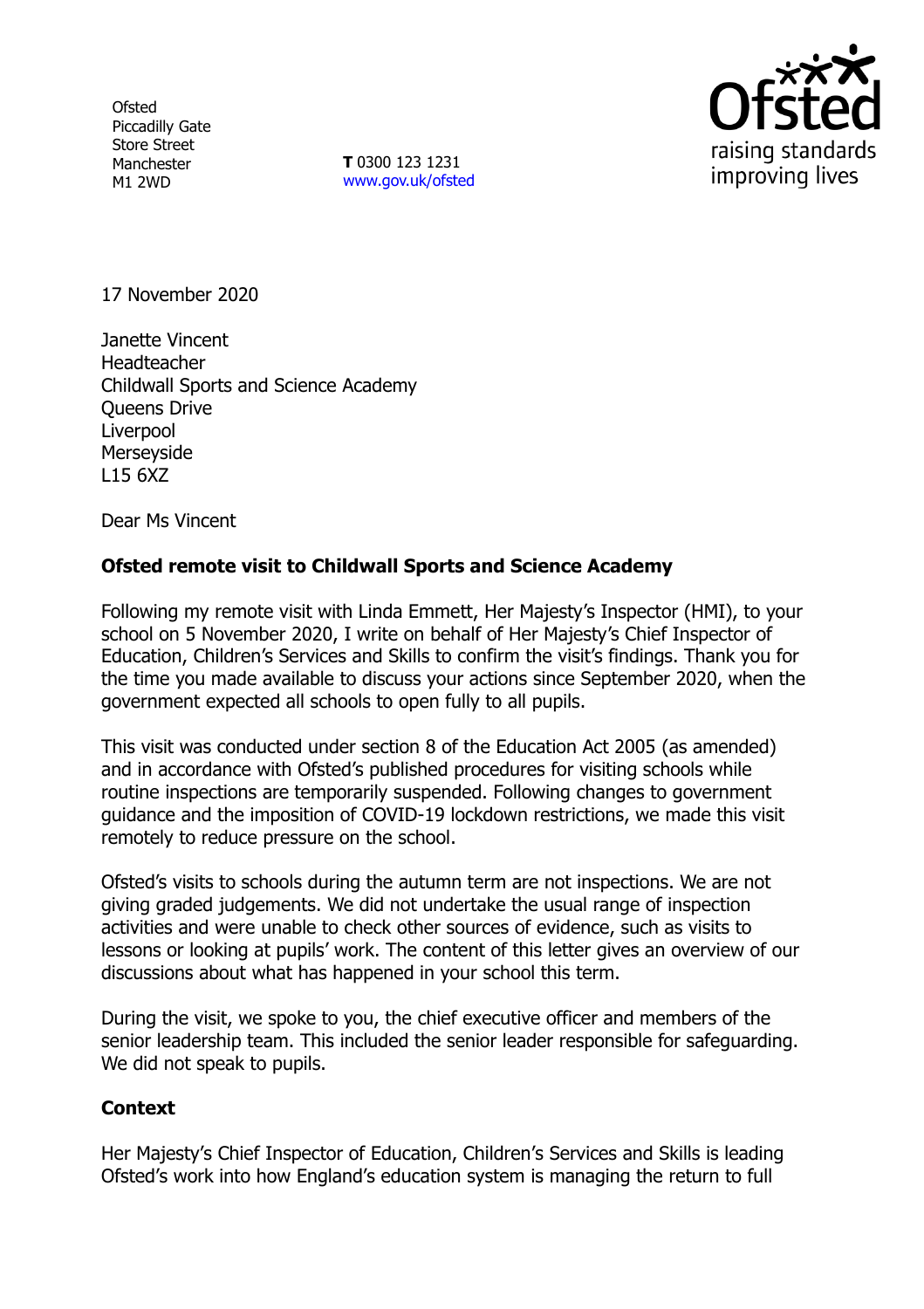**Ofsted** Piccadilly Gate Store Street Manchester M1 2WD

**T** 0300 123 1231 [www.gov.uk/ofsted](http://www.gov.uk/ofsted)



17 November 2020

Janette Vincent **Headteacher** Childwall Sports and Science Academy Queens Drive **Liverpool** Merseyside L15 6XZ

Dear Ms Vincent

## **Ofsted remote visit to Childwall Sports and Science Academy**

Following my remote visit with Linda Emmett, Her Majesty's Inspector (HMI), to your school on 5 November 2020, I write on behalf of Her Majesty's Chief Inspector of Education, Children's Services and Skills to confirm the visit's findings. Thank you for the time you made available to discuss your actions since September 2020, when the government expected all schools to open fully to all pupils.

This visit was conducted under section 8 of the Education Act 2005 (as amended) and in accordance with Ofsted's published procedures for visiting schools while routine inspections are temporarily suspended. Following changes to government guidance and the imposition of COVID-19 lockdown restrictions, we made this visit remotely to reduce pressure on the school.

Ofsted's visits to schools during the autumn term are not inspections. We are not giving graded judgements. We did not undertake the usual range of inspection activities and were unable to check other sources of evidence, such as visits to lessons or looking at pupils' work. The content of this letter gives an overview of our discussions about what has happened in your school this term.

During the visit, we spoke to you, the chief executive officer and members of the senior leadership team. This included the senior leader responsible for safeguarding. We did not speak to pupils.

## **Context**

Her Majesty's Chief Inspector of Education, Children's Services and Skills is leading Ofsted's work into how England's education system is managing the return to full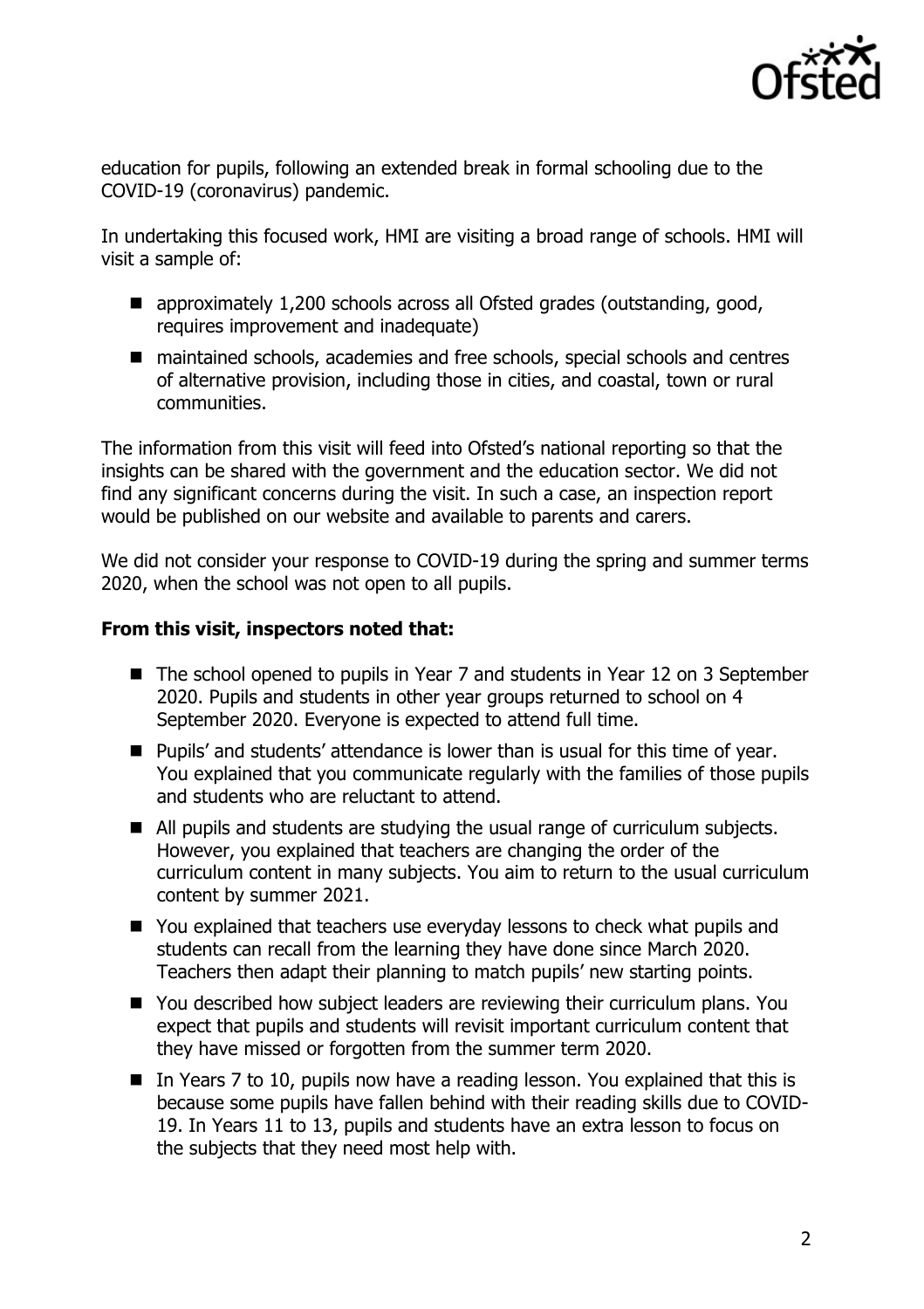

education for pupils, following an extended break in formal schooling due to the COVID-19 (coronavirus) pandemic.

In undertaking this focused work, HMI are visiting a broad range of schools. HMI will visit a sample of:

- approximately 1,200 schools across all Ofsted grades (outstanding, good, requires improvement and inadequate)
- maintained schools, academies and free schools, special schools and centres of alternative provision, including those in cities, and coastal, town or rural communities.

The information from this visit will feed into Ofsted's national reporting so that the insights can be shared with the government and the education sector. We did not find any significant concerns during the visit. In such a case, an inspection report would be published on our website and available to parents and carers.

We did not consider your response to COVID-19 during the spring and summer terms 2020, when the school was not open to all pupils.

## **From this visit, inspectors noted that:**

- The school opened to pupils in Year 7 and students in Year 12 on 3 September 2020. Pupils and students in other year groups returned to school on 4 September 2020. Everyone is expected to attend full time.
- Pupils' and students' attendance is lower than is usual for this time of year. You explained that you communicate regularly with the families of those pupils and students who are reluctant to attend.
- All pupils and students are studying the usual range of curriculum subjects. However, you explained that teachers are changing the order of the curriculum content in many subjects. You aim to return to the usual curriculum content by summer 2021.
- You explained that teachers use everyday lessons to check what pupils and students can recall from the learning they have done since March 2020. Teachers then adapt their planning to match pupils' new starting points.
- You described how subject leaders are reviewing their curriculum plans. You expect that pupils and students will revisit important curriculum content that they have missed or forgotten from the summer term 2020.
- In Years 7 to 10, pupils now have a reading lesson. You explained that this is because some pupils have fallen behind with their reading skills due to COVID-19. In Years 11 to 13, pupils and students have an extra lesson to focus on the subjects that they need most help with.